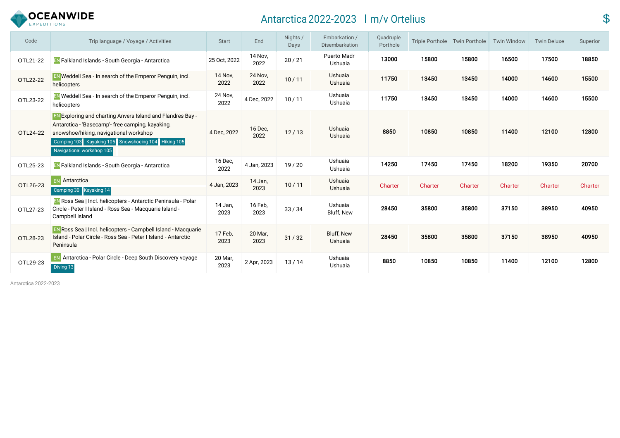

# Antarctica 2022-2023 Im/v Ortelius **\$**

| Code     | Trip language / Voyage / Activities                                                                                                                                                                                                                 | <b>Start</b>           | End                    | Nights /<br>Days | Embarkation /<br>Disembarkation | Quadruple<br>Porthole | Triple Porthole | Twin Porthole | <b>Twin Window</b> | <b>Twin Deluxe</b> | Superior |
|----------|-----------------------------------------------------------------------------------------------------------------------------------------------------------------------------------------------------------------------------------------------------|------------------------|------------------------|------------------|---------------------------------|-----------------------|-----------------|---------------|--------------------|--------------------|----------|
| OTL21-22 | EN Falkland Islands - South Georgia - Antarctica                                                                                                                                                                                                    | 25 Oct, 2022           | 14 Nov,<br>2022        | 20/21            | Puerto Madr<br>Ushuaia          | 13000                 | 15800           | 15800         | 16500              | 17500              | 18850    |
| OTL22-22 | <b>EN</b> Weddell Sea - In search of the Emperor Penguin, incl.<br>helicopters                                                                                                                                                                      | <b>14 Nov.</b><br>2022 | <b>24 Nov.</b><br>2022 | 10/11            | Ushuaia<br>Ushuaia              | 11750                 | 13450           | 13450         | 14000              | 14600              | 15500    |
| OTL23-22 | <b>EN</b> Weddell Sea - In search of the Emperor Penguin, incl.<br>helicopters                                                                                                                                                                      | 24 Nov,<br>2022        | 4 Dec, 2022            | 10/11            | Ushuaia<br>Ushuaia              | 11750                 | 13450           | 13450         | 14000              | 14600              | 15500    |
| OTL24-22 | <b>EN Exploring and charting Anvers Island and Flandres Bay -</b><br>Antarctica - 'Basecamp'- free camping, kayaking,<br>snowshoe/hiking, navigational workshop<br>Camping 103 Kayaking 105 Snowshoeing 104 Hiking 105<br>Navigational workshop 105 | 4 Dec, 2022            | 16 Dec,<br>2022        | 12/13            | Ushuaia<br>Ushuaia              | 8850                  | 10850           | 10850         | 11400              | 12100              | 12800    |
| OTL25-23 | EN Falkland Islands - South Georgia - Antarctica                                                                                                                                                                                                    | 16 Dec,<br>2022        | 4 Jan, 2023            | 19/20            | Ushuaia<br>Ushuaia              | 14250                 | 17450           | 17450         | 18200              | 19350              | 20700    |
| OTL26-23 | <b>EN</b> Antarctica<br>Camping 30 Kayaking 14                                                                                                                                                                                                      | 4 Jan, 2023            | 14 Jan,<br>2023        | 10/11            | Ushuaia<br><b>Ushuaia</b>       | Charter               | Charter         | Charter       | Charter            | Charter            | Charter  |
| OTL27-23 | <b>EN Ross Sea   Incl. helicopters - Antarctic Peninsula - Polar</b><br>Circle - Peter I Island - Ross Sea - Macquarie Island -<br>Campbell Island                                                                                                  | 14 Jan,<br>2023        | 16 Feb,<br>2023        | 33/34            | Ushuaia<br>Bluff, New           | 28450                 | 35800           | 35800         | 37150              | 38950              | 40950    |
| OTL28-23 | <b>EN Ross Sea   Incl. helicopters - Campbell Island - Macquarie</b><br>Island - Polar Circle - Ross Sea - Peter I Island - Antarctic<br>Peninsula                                                                                                  | 17 Feb.<br>2023        | 20 Mar,<br>2023        | 31/32            | Bluff, New<br>Ushuaia           | 28450                 | 35800           | 35800         | 37150              | 38950              | 40950    |
| OTL29-23 | <b>EN</b> Antarctica - Polar Circle - Deep South Discovery voyage<br>Diving 13                                                                                                                                                                      | 20 Mar,<br>2023        | 2 Apr, 2023            | 13/14            | Ushuaia<br>Ushuaia              | 8850                  | 10850           | 10850         | 11400              | 12100              | 12800    |

Antarctica 2022-2023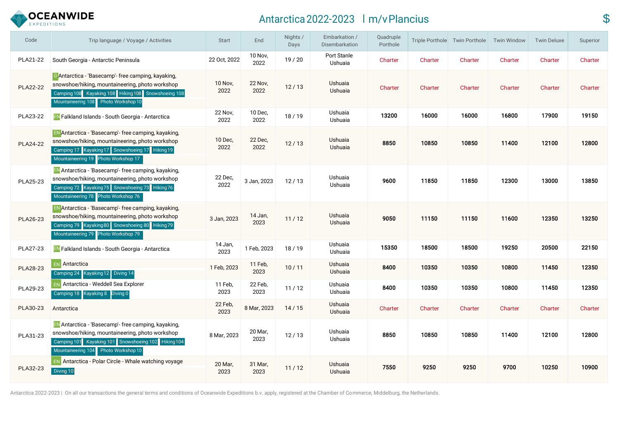

# Antarctica 2022-2023 Im/vPlancius \$

| Code            | Trip language / Voyage / Activities                                                                                                                                                                         | <b>Start</b>    | End             | Nights /<br>Days | Embarkation /<br>Disembarkation | Quadruple<br>Porthole |                | Triple Porthole Twin Porthole | <b>Twin Window</b> | <b>Twin Deluxe</b> | Superior |
|-----------------|-------------------------------------------------------------------------------------------------------------------------------------------------------------------------------------------------------------|-----------------|-----------------|------------------|---------------------------------|-----------------------|----------------|-------------------------------|--------------------|--------------------|----------|
| PLA21-22        | South Georgia - Antarctic Peninsula                                                                                                                                                                         | 22 Oct, 2022    | 10 Nov,<br>2022 | 19/20            | Port Stanle<br>Ushuaia          | Charter               | Charter        | Charter                       | Charter            | Charter            | Charter  |
| <b>PLA22-22</b> | <b>G</b> Antarctica - 'Basecamp'- free camping, kayaking,<br>snowshoe/hiking, mountaineering, photo workshop<br>Camping 108 Kayaking 108 Hiking 108 Snowshoeing 108<br>Mountaineering 108 Photo Workshop 10 | 10 Nov,<br>2022 | 22 Nov,<br>2022 | 12/13            | Ushuaia<br>Ushuaia              | Charter               | Charter        | Charter                       | Charter            | Charter            | Charter  |
| PLA23-22        | <b>EN Falkland Islands - South Georgia - Antarctica</b>                                                                                                                                                     | 22 Nov,<br>2022 | 10 Dec,<br>2022 | 18/19            | Ushuaia<br>Ushuaia              | 13200                 | 16000          | 16000                         | 16800              | 17900              | 19150    |
| <b>PLA24-22</b> | <b>EN</b> Antarctica - 'Basecamp'- free camping, kayaking,<br>snowshoe/hiking, mountaineering, photo workshop<br>Camping 17 Kayaking 17 Snowshoeing 17 Hiking 19<br>Mountaineering 19 Photo Workshop 17     | 10 Dec,<br>2022 | 22 Dec,<br>2022 | 12/13            | Ushuaia<br>Ushuaia              | 8850                  | 10850          | 10850                         | 11400              | 12100              | 12800    |
| PLA25-23        | EN Antarctica - 'Basecamp'- free camping, kayaking,<br>snowshoe/hiking, mountaineering, photo workshop<br>Camping 72 Kayaking 75 Snowshoeing 73 Hiking 76<br>Mountaineering 78 Photo Workshop 76            | 22 Dec,<br>2022 | 3 Jan, 2023     | 12/13            | Ushuaia<br>Ushuaia              | 9600                  | 11850          | 11850                         | 12300              | 13000              | 13850    |
| PLA26-23        | EN Antarctica - 'Basecamp'- free camping, kayaking,<br>snowshoe/hiking, mountaineering, photo workshop<br>Camping 79 Kayaking 80 Snowshoeing 80 Hiking 79<br>Mountaineering 79 Photo Workshop 79            | 3 Jan, 2023     | 14 Jan,<br>2023 | 11/12            | Ushuaia<br>Ushuaia              | 9050                  | 11150          | 11150                         | 11600              | 12350              | 13250    |
| PLA27-23        | <b>EN</b> Falkland Islands - South Georgia - Antarctica                                                                                                                                                     | 14 Jan,<br>2023 | 1 Feb, 2023     | 18/19            | Ushuaia<br>Ushuaia              | 15350                 | 18500          | 18500                         | 19250              | 20500              | 22150    |
| PLA28-23        | <b>EN</b> Antarctica<br>Camping 24 Kayaking 12 Diving 14                                                                                                                                                    | 1 Feb, 2023     | 11 Feb,<br>2023 | 10/11            | Ushuaia<br>Ushuaia              | 8400                  | 10350          | 10350                         | 10800              | 11450              | 12350    |
| PLA29-23        | <b>EN</b> Antarctica - Weddell Sea Explorer<br>Kayaking 8 Diving 0<br>Camping 18                                                                                                                            | 11 Feb,<br>2023 | 22 Feb,<br>2023 | 11/12            | Ushuaia<br>Ushuaia              | 8400                  | 10350          | 10350                         | 10800              | 11450              | 12350    |
| PLA30-23        | Antarctica                                                                                                                                                                                                  | 22 Feb,<br>2023 | 8 Mar, 2023     | 14/15            | Ushuaia<br>Ushuaia              | Charter               | <b>Charter</b> | Charter                       | Charter            | Charter            | Charter  |
| PLA31-23        | EN Antarctica - 'Basecamp'- free camping, kayaking,<br>snowshoe/hiking, mountaineering, photo workshop<br>Camping 101 Kayaking 101 Snowshoeing 102 Hiking 104<br>Mountaineering 104 Photo Workshop 10       | 8 Mar, 2023     | 20 Mar,<br>2023 | 12/13            | Ushuaia<br>Ushuaia              | 8850                  | 10850          | 10850                         | 11400              | 12100              | 12800    |
| PLA32-23        | <b>EN</b> Antarctica - Polar Circle - Whale watching voyage<br>Diving 10                                                                                                                                    | 20 Mar,<br>2023 | 31 Mar,<br>2023 | 11/12            | Ushuaia<br>Ushuaia              | 7550                  | 9250           | 9250                          | 9700               | 10250              | 10900    |

Antarctica 2022-2023 | On all our transactions the general terms and conditions of Oceanwide Expeditions b.v. apply, registered at the Chamber of Commerce, Middelburg, the Netherlands.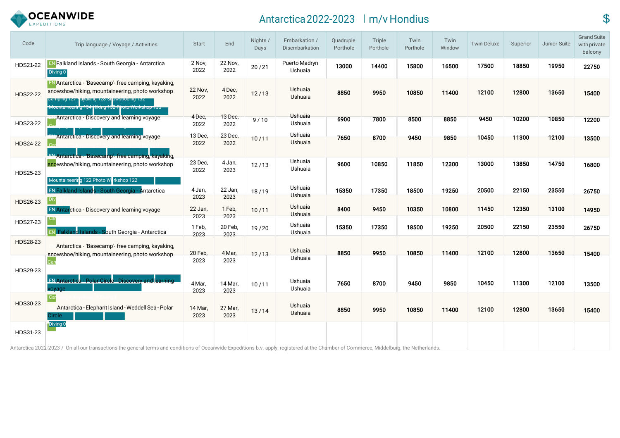

# Antarctica 2022-2023 m/v Hondius \$

| Code            | Trip language / Voyage / Activities                                                                                                                                                                          | <b>Start</b>           | End                     | Nights /<br>Days | Embarkation /<br>Disembarkation      | Quadruple<br>Porthole | Triple<br>Porthole | Twin<br>Porthole | Twin<br>Window | <b>Twin Deluxe</b> | Superior | Junior Suite | <b>Grand Suite</b><br>with private<br>balcony |
|-----------------|--------------------------------------------------------------------------------------------------------------------------------------------------------------------------------------------------------------|------------------------|-------------------------|------------------|--------------------------------------|-----------------------|--------------------|------------------|----------------|--------------------|----------|--------------|-----------------------------------------------|
| HDS21-22        | <b>EN Falkland Islands - South Georgia - Antarctica</b><br>Diving 0                                                                                                                                          | 2 Nov,<br>2022         | <b>22 Nov.</b><br>2022  | 20/21            | Puerto Madryn<br>Ushuaia             | 13000                 | 14400              | 15800            | 16500          | 17500              | 18850    | 19950        | 22750                                         |
| <b>HDS22-22</b> | <b>EN</b> Antarctica - 'Basecamp'- free camping, kayaking,<br>snowshoe/hiking, mountaineering, photo workshop<br>Camping 127 hayaking 128 Snowshoeing 132<br>ountaineering 134 Hiking 132 Photo Workshop 135 | 22 Nov,<br>2022        | 4 Dec,<br>2022          | 12/13            | Ushuaia<br>Ushuaia<br><b>Ushuaia</b> | 8850                  | 9950               | 10850            | 11400          | 12100              | 12800    | 13650        | 15400                                         |
| HDS23-22        | Antarctica - Discovery and learning voyage                                                                                                                                                                   | 4 Dec.<br>2022         | 13 Dec,<br>2022         | 9/10             | Ushuaia                              | 6900                  | 7800               | 8500             | 8850           | 9450               | 10200    | 10850        | 12200                                         |
| <b>HDS24-22</b> | Antarctica - Discovery and learning voyage<br>Antarctica - Basecamp'- free camping, kayaking,                                                                                                                | 13 Dec,<br>2022        | 23 Dec,<br>2022         | 10/11            | Ushuaia<br>Ushuaia                   | 7650                  | 8700               | 9450             | 9850           | 10450              | 11300    | 12100        | 13500                                         |
| HDS25-23        | snowshoe/hiking, mountaineering, photo workshop<br>Mountaineering 122 Photo Workshop 122                                                                                                                     | 23 Dec,<br>2022        | 4 Jan,<br>2023          | 12/13            | Ushuaia<br>Ushuaia                   | 9600                  | 10850              | 11850            | 12300          | 13000              | 13850    | 14750        | 16800                                         |
|                 | <b>EN Falkland Islands - South Georgia - Antarctica</b>                                                                                                                                                      | 4 Jan,                 | 22 Jan,                 | 18/19            | Ushuaia<br><b>Ushuaia</b>            | 15350                 | 17350              | 18500            | 19250          | 20500              | 22150    | 23550        | 26750                                         |
| HDS26-23        | Div<br><b>EN Antarctica - Discovery and learning voyage</b>                                                                                                                                                  | 2023<br>22 Jan,        | 2023<br>1 Feb,          | 10/11            | <b>Ushuaia</b><br>Ushuaia            | 8400                  | 9450               | 10350            | 10800          | 11450              | 12350    | 13100        | 14950                                         |
| HDS27-23        | EN Falkland Islands - South Georgia - Antarctica                                                                                                                                                             | 2023<br>1 Feb,<br>2023 | 2023<br>20 Feb,<br>2023 | 19/20            | Ushuaia<br>Ushuaia                   | 15350                 | 17350              | 18500            | 19250          | 20500              | 22150    | 23550        | 26750                                         |
| HDS28-23        | Antarctica - 'Basecamp'- free camping, kayaking,<br>snowshoe/hiking, mountaineering, photo workshop                                                                                                          | 20 Feb,                | 4 Mar,                  | 12/13            | Ushuaia                              | 8850                  | 9950               | 10850            | 11400          | 12100              | 12800    | 13650        | 15400                                         |
| HDS29-23        |                                                                                                                                                                                                              | 2023                   | 2023                    |                  | Ushuaia                              |                       |                    |                  |                |                    |          |              |                                               |
|                 | <b>EN Antarctica - Polar Circle - Discovery and learning</b><br>voyage                                                                                                                                       | 4 Mar,<br>2023         | 14 Mar,<br>2023         | 10/11            | Ushuaia<br>Ushuaia                   | 7650                  | 8700               | 9450             | 9850           | 10450              | 11300    | 12100        | 13500                                         |
| HDS30-23        | Ca<br>Antarctica - Elephant Island - Weddell Sea - Polar<br>ircle.                                                                                                                                           | 14 Mar,<br>2023        | 27 Mar,<br>2023         | 13/14            | Ushuaia<br>Ushuaia                   | 8850                  | 9950               | 10850            | 11400          | 12100              | 12800    | 13650        | 15400                                         |
| HDS31-23        | Diving 0                                                                                                                                                                                                     |                        |                         |                  |                                      |                       |                    |                  |                |                    |          |              |                                               |

Antarctica 2022-2023 / On all our transactions the general terms and conditions of Oceanwide Expeditions b.v. apply, registered at the Chamber of Commerce, Middelburg, the Netherlands.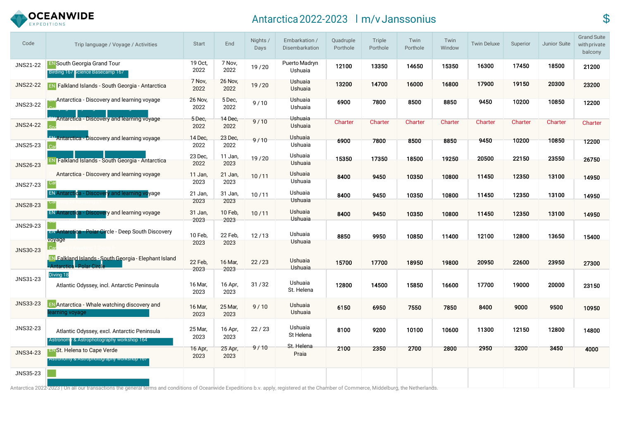

# Antarctica 2022-2023 Im/vJanssonius **\$**

| Code            | Trip language / Voyage / Activities                                                       | <b>Start</b>           | End             | Nights /<br>Days | Embarkation /<br>Disembarkation | Quadruple<br>Porthole | Triple<br>Porthole | Twin<br>Porthole | Twin<br>Window | <b>Twin Deluxe</b> | Superior | Junior Suite | <b>Grand Suite</b><br>with private<br>balcony |
|-----------------|-------------------------------------------------------------------------------------------|------------------------|-----------------|------------------|---------------------------------|-----------------------|--------------------|------------------|----------------|--------------------|----------|--------------|-----------------------------------------------|
| JNS21-22        | <b>EN South Georgia Grand Tour</b><br>Birding 167 Science Basecamp 167                    | 19 Oct,<br>2022        | 7 Nov.<br>2022  | 19/20            | Puerto Madryn<br>Ushuaia        | 12100                 | 13350              | 14650            | 15350          | 16300              | 17450    | 18500        | 21200                                         |
| JNS22-22        | <b>EN Falkland Islands - South Georgia - Antarctica</b>                                   | 7 Nov,<br>2022         | 26 Nov,<br>2022 | 19/20            | Ushuaia<br>Ushuaia              | 13200                 | 14700              | 16000            | 16800          | 17900              | 19150    | 20300        | 23200                                         |
| <b>JNS23-22</b> | Antarctica - Discovery and learning voyage                                                | <b>26 Nov,</b><br>2022 | 5 Dec,<br>2022  | 9/10             | <b>Ushuaia</b><br>Ushuaia       | 6900                  | 7800               | 8500             | 8850           | 9450               | 10200    | 10850        | 12200                                         |
| <b>JNS24-22</b> | <b>Antarctica - Discovery and learning voyage</b>                                         | 5 Dec,<br>2022         | 14 Dec,<br>2022 | 9/10             | <b>Ushuaia</b><br>Ushuaia       | Charter               | Charter            | Charter          | Charter        | Charter            | Charter  | Charter      | Charter                                       |
| <b>JNS25-23</b> | <b>EN Antarctica - Discovery and learning voyage</b><br>l Carl                            | 14 Dec,<br>2022        | 23 Dec,<br>2022 | 9/10             | Ushuaia<br>Ushuaia              | 6900                  | 7800               | 8500             | 8850           | 9450               | 10200    | 10850        | 12200                                         |
| <b>JNS26-23</b> | EN Falkland Islands - South Georgia - Antarctica                                          | 23 Dec,<br>2022        | 11 Jan,<br>2023 | 19/20            | Ushuaia<br>Ushuaia              | 15350                 | 17350              | 18500            | 19250          | 20500              | 22150    | 23550        | 26750                                         |
| <b>JNS27-23</b> | Antarctica - Discovery and learning voyage                                                | 11 Jan,<br>2023        | 21 Jan,<br>2023 | 10/11            | Ushuaia<br>Ushuaia              | 8400                  | 9450               | 10350            | 10800          | 11450              | 12350    | 13100        | 14950                                         |
| <b>JNS28-23</b> | <b>EN Antarctica - Discovery and learning voyage</b>                                      | 21 Jan,<br>2023        | 31 Jan,<br>2023 | 10/11            | Ushuaia<br>Ushuaia              | 8400                  | 9450               | 10350            | 10800          | 11450              | 12350    | 13100        | 14950                                         |
| JNS29-23        | <b>EN Antarctica - Discovery and learning voyage</b>                                      | 31 Jan,<br>2023        | 10 Feb,<br>2023 | 10/11            | Ushuaia<br>Ushuaia              | 8400                  | 9450               | 10350            | 10800          | 11450              | 12350    | 13100        | 14950                                         |
|                 | <b>EN Antarctica - Polar Circle - Deep South Discovery</b><br>voyage                      | 10 Feb,<br>2023        | 22 Feb,<br>2023 | 12/13            | Ushuaia<br><b>Ushuaia</b>       | 8850                  | 9950               | 10850            | 11400          | 12100              | 12800    | 13650        | 15400                                         |
| <b>JNS30-23</b> | <b>EN Falkland Islands - South Georgia - Elephant Island</b><br><b>Polar Circ</b>         | 22 Feb,                | 16 Mar,         | 22/23            | Ushuaia                         | 15700                 | 17700              | 18950            | 19800          | 20950              | 22600    | 23950        | 27300                                         |
| JNS31-23        | Diving 18<br>Atlantic Odyssey, incl. Antarctic Peninsula                                  | 2023<br>16 Mar,        | 2023<br>16 Apr, | 31/32            | <b>Ushuaia</b><br>Ushuaia       | 12800                 | 14500              | 15850            | 16600          | 17700              | 19000    | 20000        | 23150                                         |
|                 |                                                                                           | 2023                   | 2023            |                  | St. Helena                      |                       |                    |                  |                |                    |          |              |                                               |
| <b>JNS33-23</b> | <b>EN Antarctica - Whale watching discovery and</b><br>earning voyage                     | 16 Mar,<br>2023        | 25 Mar,<br>2023 | 9/10             | Ushuaia<br>Ushuaia              | 6150                  | 6950               | 7550             | 7850           | 8400               | 9000     | 9500         | 10950                                         |
| JNS32-23        | Atlantic Odyssey, excl. Antarctic Peninsula<br>Astronom / & Astrophotography workshop 164 | 25 Mar,<br>2023        | 16 Apr,<br>2023 | 22/23            | Ushuaia<br>St Helena            | 8100                  | 9200               | 10100            | 10600          | 11300              | 12150    | 12800        | 14800                                         |
| JNS34-23        | <b>ENSt. Helena to Cape Verde</b><br>Astronomy & Astrophotography workshop 167            | 16 Apr,<br>2023        | 25 Apr,<br>2023 | 9/10             | St. Helena<br>Praia             | 2100                  | 2350               | 2700             | 2800           | 2950               | 3200     | 3450         | 4000                                          |
| JNS35-23        |                                                                                           |                        |                 |                  |                                 |                       |                    |                  |                |                    |          |              |                                               |

Antarctica 2022-2023 | On all our transactions the general terms and conditions of Oceanwide Expeditions b.v. apply, registered at the Chamber of Commerce, Middelburg, the Netherlands.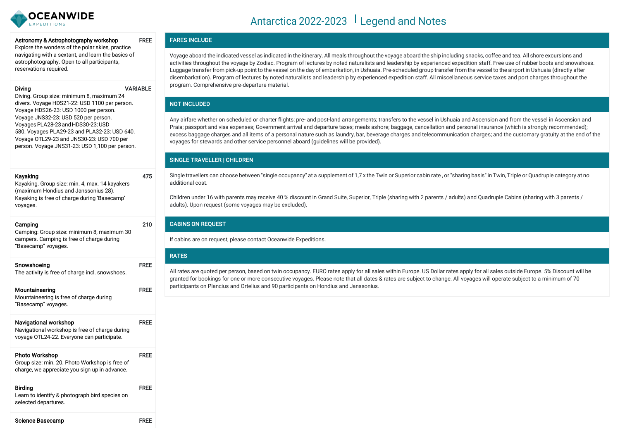

#### Astronomy & Astrophotography workshop FREE

Explore the wonders of the polar skies, practice navigating with a sextant, and learn the basics of astrophotography. Open to all participants, reservations required.

#### Diving VARIABLE

475

210

Diving. Group size: minimum 8, maximum 24 divers. Voyage HDS21-22: USD 1100 per person. Voyage HDS26-23: USD 1000 per person. Voyage JNS32-23: USD 520 per person. VoyagesPLA28-23andHDS30-23:USD 580. Voyages PLA29-23 and PLA32-23: USD 640. Voyage OTL29-23 and JNS30-23: USD 700 per person. Voyage JNS31-23: USD 1,100 per person.

### Kayaking

Kayaking. Group size: min. 4, max. 14 kayakers (maximum Hondius and Janssonius 28). Kayaking is free of charge during 'Basecamp' voyages.

### Camping

Camping: Group size: minimum 8, maximum 30 campers. Camping is free of charge during "Basecamp" voyages.

| Snowshoeina<br>The activity is free of charge incl. snowshoes.                                                        | <b>FREF</b> |
|-----------------------------------------------------------------------------------------------------------------------|-------------|
| Mountaineering<br>Mountaineering is free of charge during<br>"Basecamp" voyages.                                      | <b>FREE</b> |
| Navigational workshop<br>Navigational workshop is free of charge during<br>voyage OTL24-22. Everyone can participate. | <b>FREE</b> |

#### Photo Workshop Group size: min. 20. Photo Workshop is free of charge, we appreciate you sign up in advance. FREE Birding FREE

Learn to identify & photograph bird species on selected departures.

| Science Basecamp | <b>FREE</b> |
|------------------|-------------|

# Antarctica 2022-2023 Legend and Notes

# FARES INCLUDE

Voyage aboard the indicated vessel as indicated in the itinerary. All meals throughout the voyage aboard the ship including snacks, coffee and tea. All shore excursions and activities throughout the voyage by Zodiac. Program of lectures by noted naturalists and leadership by experienced expedition staff. Free use of rubber boots and snowshoes. Luggage transfer from pick-up point to the vessel on the day of embarkation, in Ushuaia. Pre-scheduled group transfer from the vessel to the airport in Ushuaia (directly after disembarkation). Program of lectures by noted naturalists and leadership by experienced expedition staff. All miscellaneous service taxes and port charges throughout the program. Comprehensive pre-departure material.

### NOT INCLUDED

Any airfare whether on scheduled or charter flights; pre- and post-land arrangements; transfers to the vessel in Ushuaia and Ascension and from the vessel in Ascension and Praia; passport and visa expenses; Government arrival and departure taxes; meals ashore; baggage, cancellation and personal insurance (which is stronalv recommended): excess baggage charges and all items of a personal nature such as laundry, bar, beverage charges and telecommunication charges; and the customary gratuity at the end of the voyages for stewards and other service personnel aboard (guidelines will be provided).

# SINGLE TRAVELLER | CHILDREN

Single travellers can choose between "single occupancy" at a supplement of 1,7 x the Twin or Superior cabin rate, or "sharing basis" in Twin, Triple or Quadruple category at no additional cost.

Children under 16 with parents may receive 40 % discount in Grand Suite, Superior, Triple (sharing with 2 parents / adults) and Quadruple Cabins (sharing with 3 parents / adults). Upon request (some voyages may be excluded),

### CABINS ON REQUEST

If cabins are on request, please contact Oceanwide Expeditions.

### RATES

All rates are quoted per person, based on twin occupancy. EURO rates apply for all sales within Europe. US Dollar rates apply for all sales outside Europe. 5% Discount will be granted for bookings for one or more consecutive voyages. Please note that all dates & rates are subject to change. All voyages will operate subject to a minimum of 70 participants on Plancius and Ortelius and 90 participants on Hondius and Janssonius.